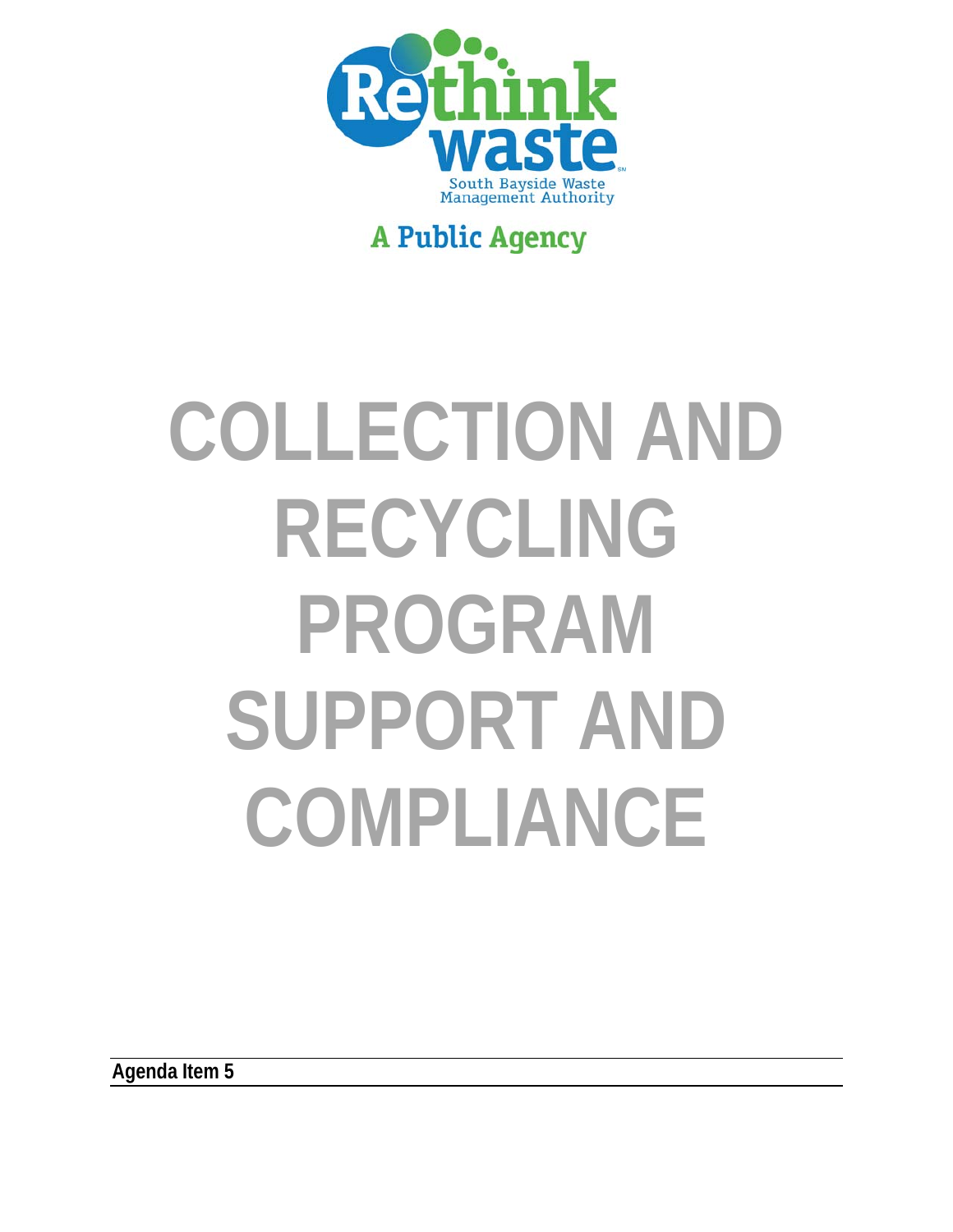

## **A Public Agency**

# **COLLECTION AND RECYCLING PROGRAM SUPPORT AND COMPLIANCE**

**Agenda Item 5**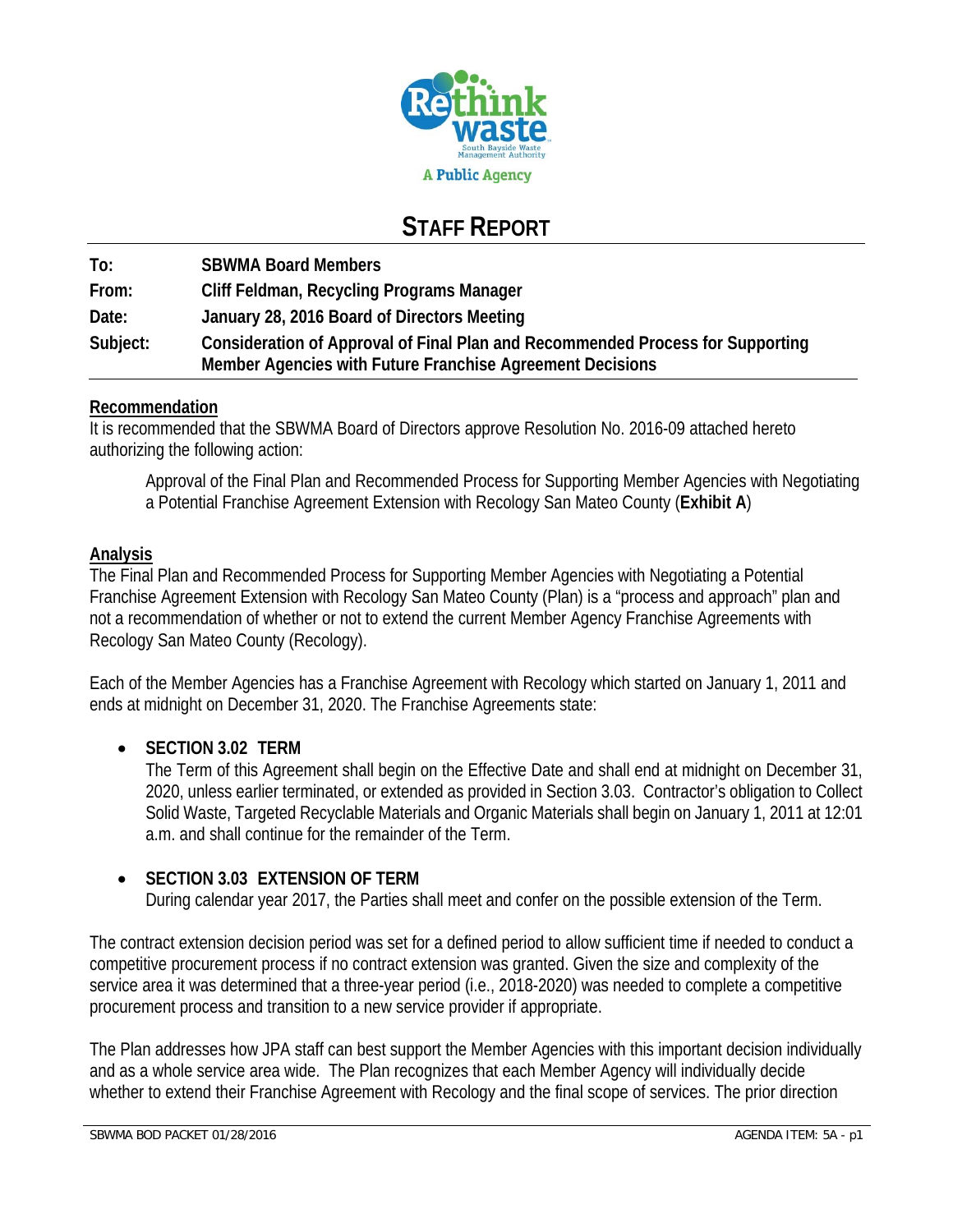

## **STAFF REPORT**

**To: SBWMA Board Members From: Cliff Feldman, Recycling Programs Manager Date: January 28, 2016 Board of Directors Meeting Subject: Consideration of Approval of Final Plan and Recommended Process for Supporting Member Agencies with Future Franchise Agreement Decisions** 

#### **Recommendation**

It is recommended that the SBWMA Board of Directors approve Resolution No. 2016-09 attached hereto authorizing the following action:

Approval of the Final Plan and Recommended Process for Supporting Member Agencies with Negotiating a Potential Franchise Agreement Extension with Recology San Mateo County (**Exhibit A**)

#### **Analysis**

The Final Plan and Recommended Process for Supporting Member Agencies with Negotiating a Potential Franchise Agreement Extension with Recology San Mateo County (Plan) is a "process and approach" plan and not a recommendation of whether or not to extend the current Member Agency Franchise Agreements with Recology San Mateo County (Recology).

Each of the Member Agencies has a Franchise Agreement with Recology which started on January 1, 2011 and ends at midnight on December 31, 2020. The Franchise Agreements state:

#### **SECTION 3.02 TERM**

The Term of this Agreement shall begin on the Effective Date and shall end at midnight on December 31, 2020, unless earlier terminated, or extended as provided in Section 3.03. Contractor's obligation to Collect Solid Waste, Targeted Recyclable Materials and Organic Materials shall begin on January 1, 2011 at 12:01 a.m. and shall continue for the remainder of the Term.

#### **SECTION 3.03 EXTENSION OF TERM**

During calendar year 2017, the Parties shall meet and confer on the possible extension of the Term.

The contract extension decision period was set for a defined period to allow sufficient time if needed to conduct a competitive procurement process if no contract extension was granted. Given the size and complexity of the service area it was determined that a three-year period (i.e., 2018-2020) was needed to complete a competitive procurement process and transition to a new service provider if appropriate.

The Plan addresses how JPA staff can best support the Member Agencies with this important decision individually and as a whole service area wide. The Plan recognizes that each Member Agency will individually decide whether to extend their Franchise Agreement with Recology and the final scope of services. The prior direction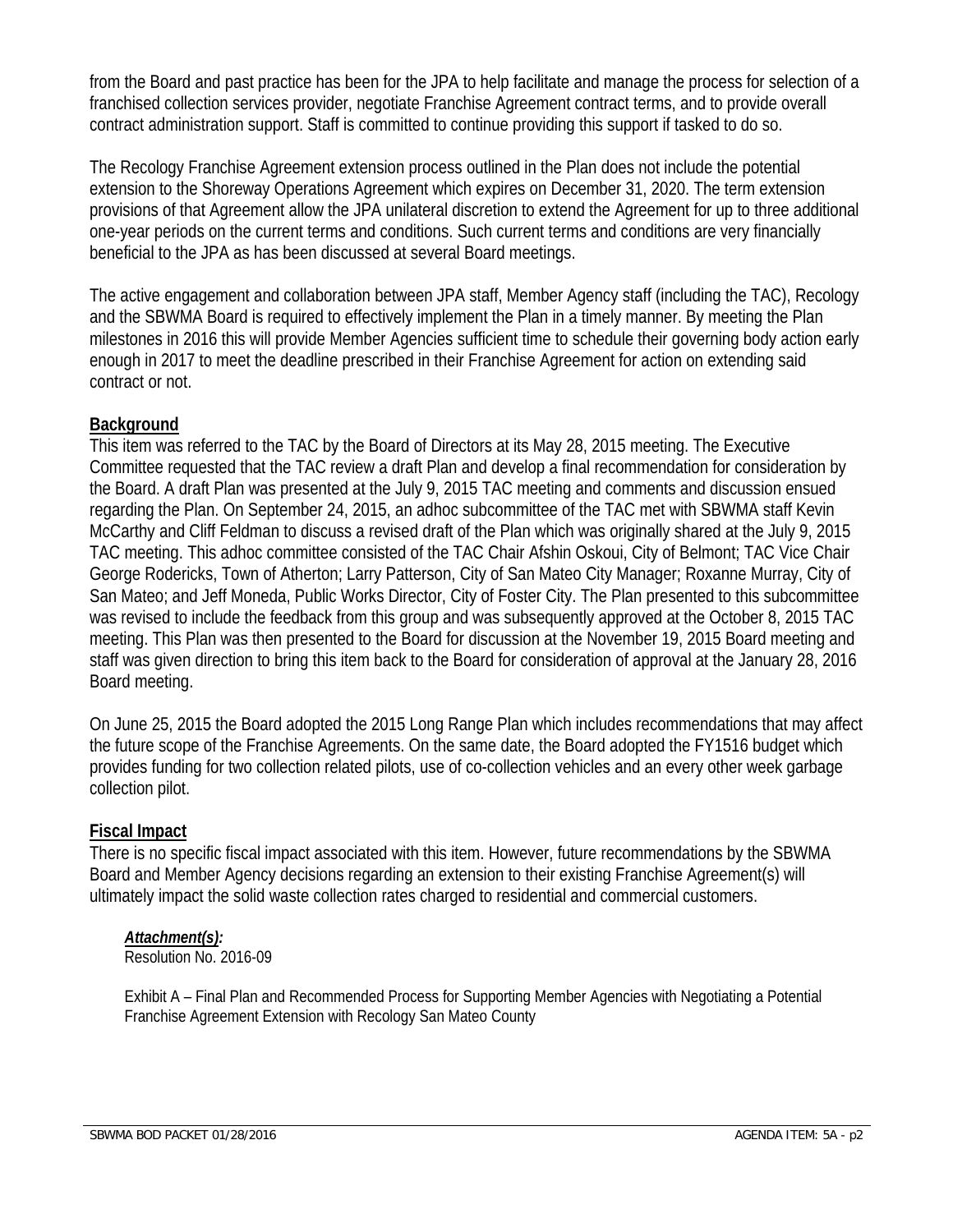from the Board and past practice has been for the JPA to help facilitate and manage the process for selection of a franchised collection services provider, negotiate Franchise Agreement contract terms, and to provide overall contract administration support. Staff is committed to continue providing this support if tasked to do so.

The Recology Franchise Agreement extension process outlined in the Plan does not include the potential extension to the Shoreway Operations Agreement which expires on December 31, 2020. The term extension provisions of that Agreement allow the JPA unilateral discretion to extend the Agreement for up to three additional one-year periods on the current terms and conditions. Such current terms and conditions are very financially beneficial to the JPA as has been discussed at several Board meetings.

The active engagement and collaboration between JPA staff, Member Agency staff (including the TAC), Recology and the SBWMA Board is required to effectively implement the Plan in a timely manner. By meeting the Plan milestones in 2016 this will provide Member Agencies sufficient time to schedule their governing body action early enough in 2017 to meet the deadline prescribed in their Franchise Agreement for action on extending said contract or not.

#### **Background**

This item was referred to the TAC by the Board of Directors at its May 28, 2015 meeting. The Executive Committee requested that the TAC review a draft Plan and develop a final recommendation for consideration by the Board. A draft Plan was presented at the July 9, 2015 TAC meeting and comments and discussion ensued regarding the Plan. On September 24, 2015, an adhoc subcommittee of the TAC met with SBWMA staff Kevin McCarthy and Cliff Feldman to discuss a revised draft of the Plan which was originally shared at the July 9, 2015 TAC meeting. This adhoc committee consisted of the TAC Chair Afshin Oskoui, City of Belmont; TAC Vice Chair George Rodericks, Town of Atherton; Larry Patterson, City of San Mateo City Manager; Roxanne Murray, City of San Mateo; and Jeff Moneda, Public Works Director, City of Foster City. The Plan presented to this subcommittee was revised to include the feedback from this group and was subsequently approved at the October 8, 2015 TAC meeting. This Plan was then presented to the Board for discussion at the November 19, 2015 Board meeting and staff was given direction to bring this item back to the Board for consideration of approval at the January 28, 2016 Board meeting.

On June 25, 2015 the Board adopted the 2015 Long Range Plan which includes recommendations that may affect the future scope of the Franchise Agreements. On the same date, the Board adopted the FY1516 budget which provides funding for two collection related pilots, use of co-collection vehicles and an every other week garbage collection pilot.

#### **Fiscal Impact**

There is no specific fiscal impact associated with this item. However, future recommendations by the SBWMA Board and Member Agency decisions regarding an extension to their existing Franchise Agreement(s) will ultimately impact the solid waste collection rates charged to residential and commercial customers.

#### *Attachment(s):*

Resolution No. 2016-09

Exhibit A – Final Plan and Recommended Process for Supporting Member Agencies with Negotiating a Potential Franchise Agreement Extension with Recology San Mateo County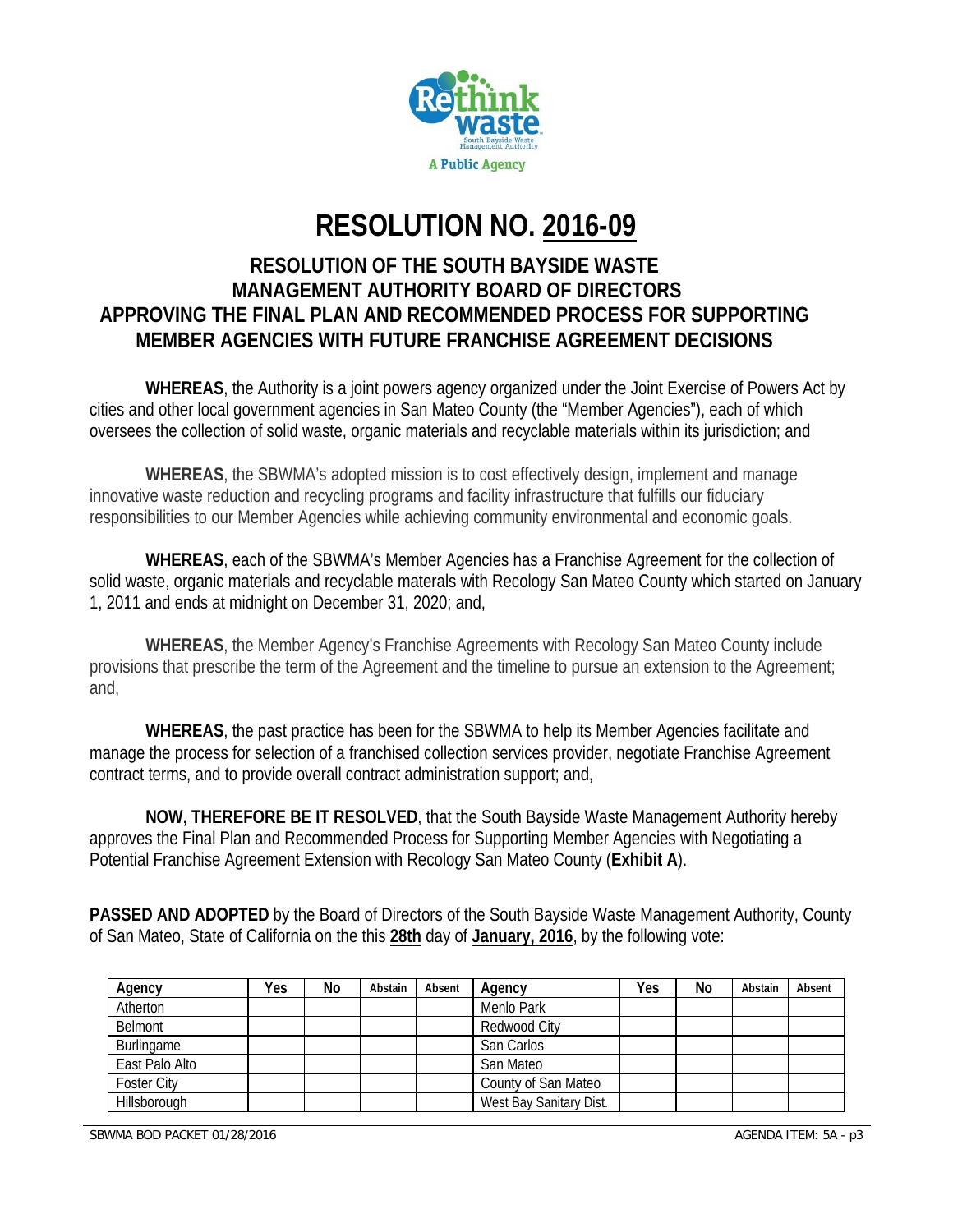

# **RESOLUTION NO. 2016-09**

#### **RESOLUTION OF THE SOUTH BAYSIDE WASTE MANAGEMENT AUTHORITY BOARD OF DIRECTORS APPROVING THE FINAL PLAN AND RECOMMENDED PROCESS FOR SUPPORTING MEMBER AGENCIES WITH FUTURE FRANCHISE AGREEMENT DECISIONS**

**WHEREAS**, the Authority is a joint powers agency organized under the Joint Exercise of Powers Act by cities and other local government agencies in San Mateo County (the "Member Agencies"), each of which oversees the collection of solid waste, organic materials and recyclable materials within its jurisdiction; and

**WHEREAS**, the SBWMA's adopted mission is to cost effectively design, implement and manage innovative waste reduction and recycling programs and facility infrastructure that fulfills our fiduciary responsibilities to our Member Agencies while achieving community environmental and economic goals.

**WHEREAS**, each of the SBWMA's Member Agencies has a Franchise Agreement for the collection of solid waste, organic materials and recyclable materals with Recology San Mateo County which started on January 1, 2011 and ends at midnight on December 31, 2020; and,

**WHEREAS**, the Member Agency's Franchise Agreements with Recology San Mateo County include provisions that prescribe the term of the Agreement and the timeline to pursue an extension to the Agreement; and,

**WHEREAS**, the past practice has been for the SBWMA to help its Member Agencies facilitate and manage the process for selection of a franchised collection services provider, negotiate Franchise Agreement contract terms, and to provide overall contract administration support; and,

**NOW, THEREFORE BE IT RESOLVED**, that the South Bayside Waste Management Authority hereby approves the Final Plan and Recommended Process for Supporting Member Agencies with Negotiating a Potential Franchise Agreement Extension with Recology San Mateo County (**Exhibit A**).

**PASSED AND ADOPTED** by the Board of Directors of the South Bayside Waste Management Authority, County of San Mateo, State of California on the this **28th** day of **January, 2016**, by the following vote:

| Agency             | Yes | No | Abstain | Absent | Agency                  | Yes | No | Abstain | Absent |
|--------------------|-----|----|---------|--------|-------------------------|-----|----|---------|--------|
| Atherton           |     |    |         |        | Menlo Park              |     |    |         |        |
| Belmont            |     |    |         |        | Redwood City            |     |    |         |        |
| Burlingame         |     |    |         |        | San Carlos              |     |    |         |        |
| East Palo Alto     |     |    |         |        | San Mateo               |     |    |         |        |
| <b>Foster City</b> |     |    |         |        | County of San Mateo     |     |    |         |        |
| Hillsborough       |     |    |         |        | West Bay Sanitary Dist. |     |    |         |        |

SBWMA BOD PACKET 01/28/2016 AGENDA ITEM: 5A - p3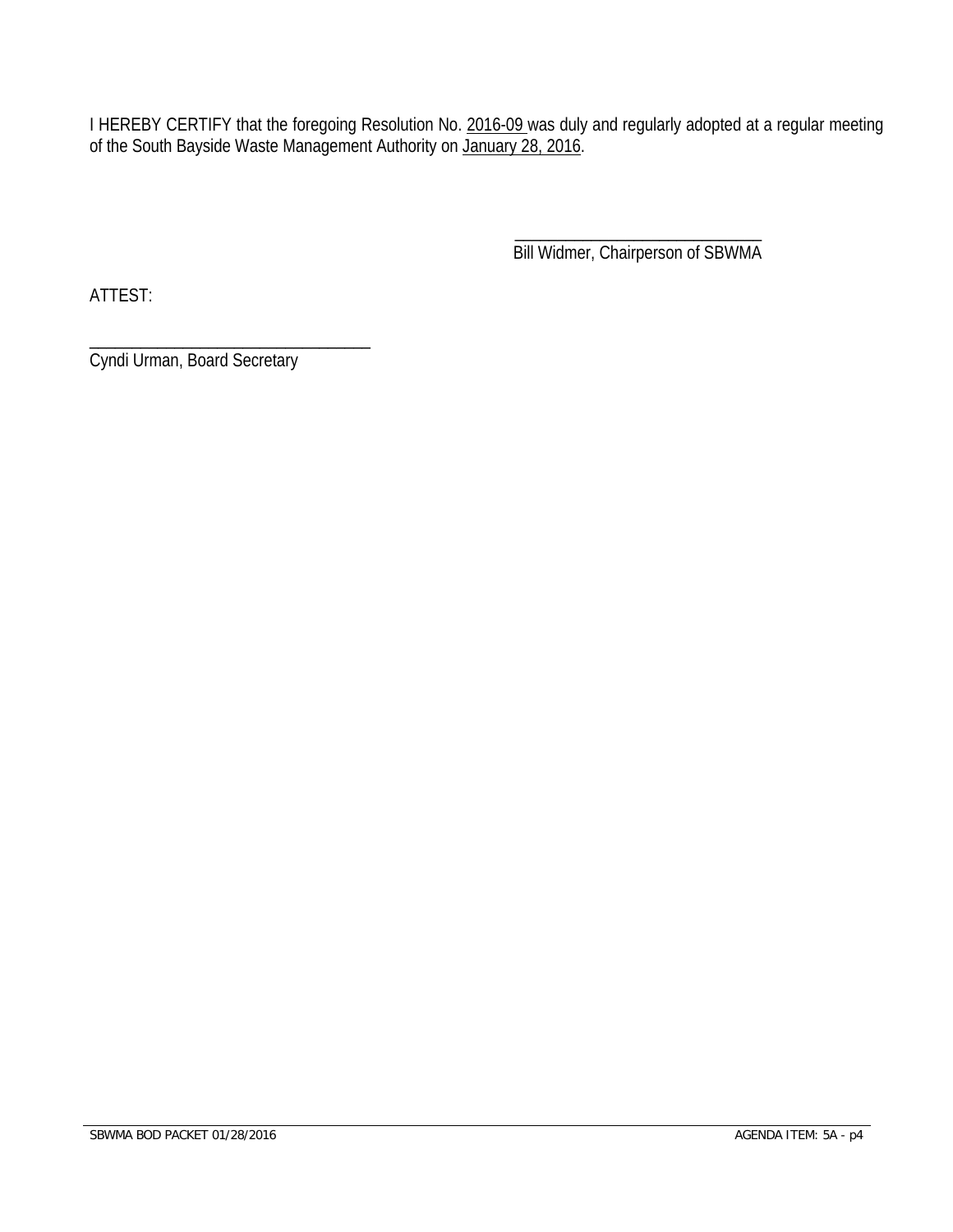I HEREBY CERTIFY that the foregoing Resolution No. 2016-09 was duly and regularly adopted at a regular meeting of the South Bayside Waste Management Authority on January 28, 2016.

 $\overline{\phantom{a}}$  , and the contract of the contract of the contract of the contract of the contract of the contract of the contract of the contract of the contract of the contract of the contract of the contract of the contrac Bill Widmer, Chairperson of SBWMA

ATTEST:

\_\_\_\_\_\_\_\_\_\_\_\_\_\_\_\_\_\_\_\_\_\_\_\_\_\_\_\_\_\_\_\_\_ Cyndi Urman, Board Secretary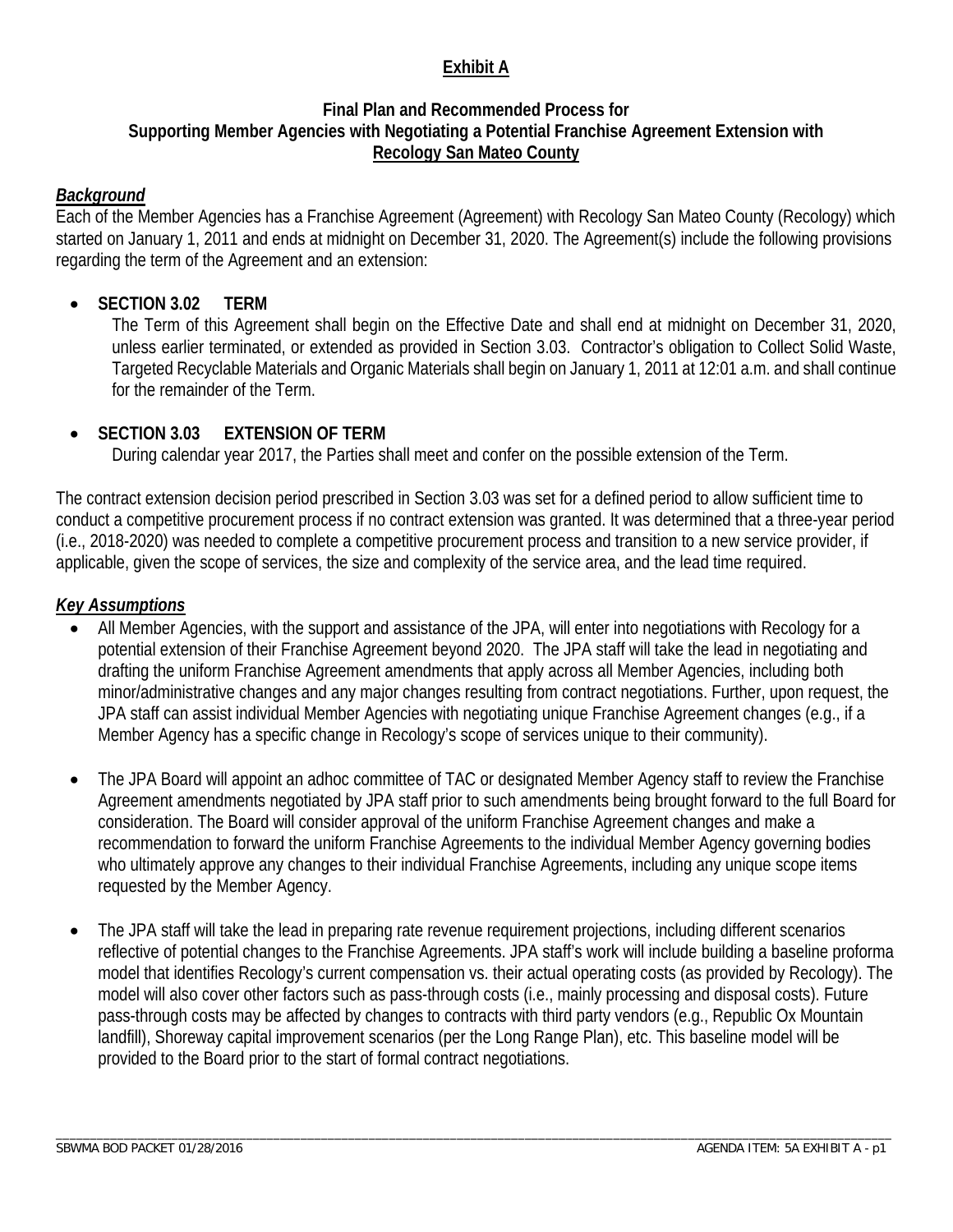#### **Exhibit A**

#### **Final Plan and Recommended Process for Supporting Member Agencies with Negotiating a Potential Franchise Agreement Extension with Recology San Mateo County**

#### *Background*

Each of the Member Agencies has a Franchise Agreement (Agreement) with Recology San Mateo County (Recology) which started on January 1, 2011 and ends at midnight on December 31, 2020. The Agreement(s) include the following provisions regarding the term of the Agreement and an extension:

#### **SECTION 3.02 TERM**

The Term of this Agreement shall begin on the Effective Date and shall end at midnight on December 31, 2020, unless earlier terminated, or extended as provided in Section 3.03. Contractor's obligation to Collect Solid Waste, Targeted Recyclable Materials and Organic Materials shall begin on January 1, 2011 at 12:01 a.m. and shall continue for the remainder of the Term.

#### **SECTION 3.03 EXTENSION OF TERM**

During calendar year 2017, the Parties shall meet and confer on the possible extension of the Term.

The contract extension decision period prescribed in Section 3.03 was set for a defined period to allow sufficient time to conduct a competitive procurement process if no contract extension was granted. It was determined that a three-year period (i.e., 2018-2020) was needed to complete a competitive procurement process and transition to a new service provider, if applicable, given the scope of services, the size and complexity of the service area, and the lead time required.

#### *Key Assumptions*

- All Member Agencies, with the support and assistance of the JPA, will enter into negotiations with Recology for a potential extension of their Franchise Agreement beyond 2020. The JPA staff will take the lead in negotiating and drafting the uniform Franchise Agreement amendments that apply across all Member Agencies, including both minor/administrative changes and any major changes resulting from contract negotiations. Further, upon request, the JPA staff can assist individual Member Agencies with negotiating unique Franchise Agreement changes (e.g., if a Member Agency has a specific change in Recology's scope of services unique to their community).
- The JPA Board will appoint an adhoc committee of TAC or designated Member Agency staff to review the Franchise Agreement amendments negotiated by JPA staff prior to such amendments being brought forward to the full Board for consideration. The Board will consider approval of the uniform Franchise Agreement changes and make a recommendation to forward the uniform Franchise Agreements to the individual Member Agency governing bodies who ultimately approve any changes to their individual Franchise Agreements, including any unique scope items requested by the Member Agency.
- The JPA staff will take the lead in preparing rate revenue requirement projections, including different scenarios reflective of potential changes to the Franchise Agreements. JPA staff's work will include building a baseline proforma model that identifies Recology's current compensation vs. their actual operating costs (as provided by Recology). The model will also cover other factors such as pass-through costs (i.e., mainly processing and disposal costs). Future pass-through costs may be affected by changes to contracts with third party vendors (e.g., Republic Ox Mountain landfill), Shoreway capital improvement scenarios (per the Long Range Plan), etc. This baseline model will be provided to the Board prior to the start of formal contract negotiations.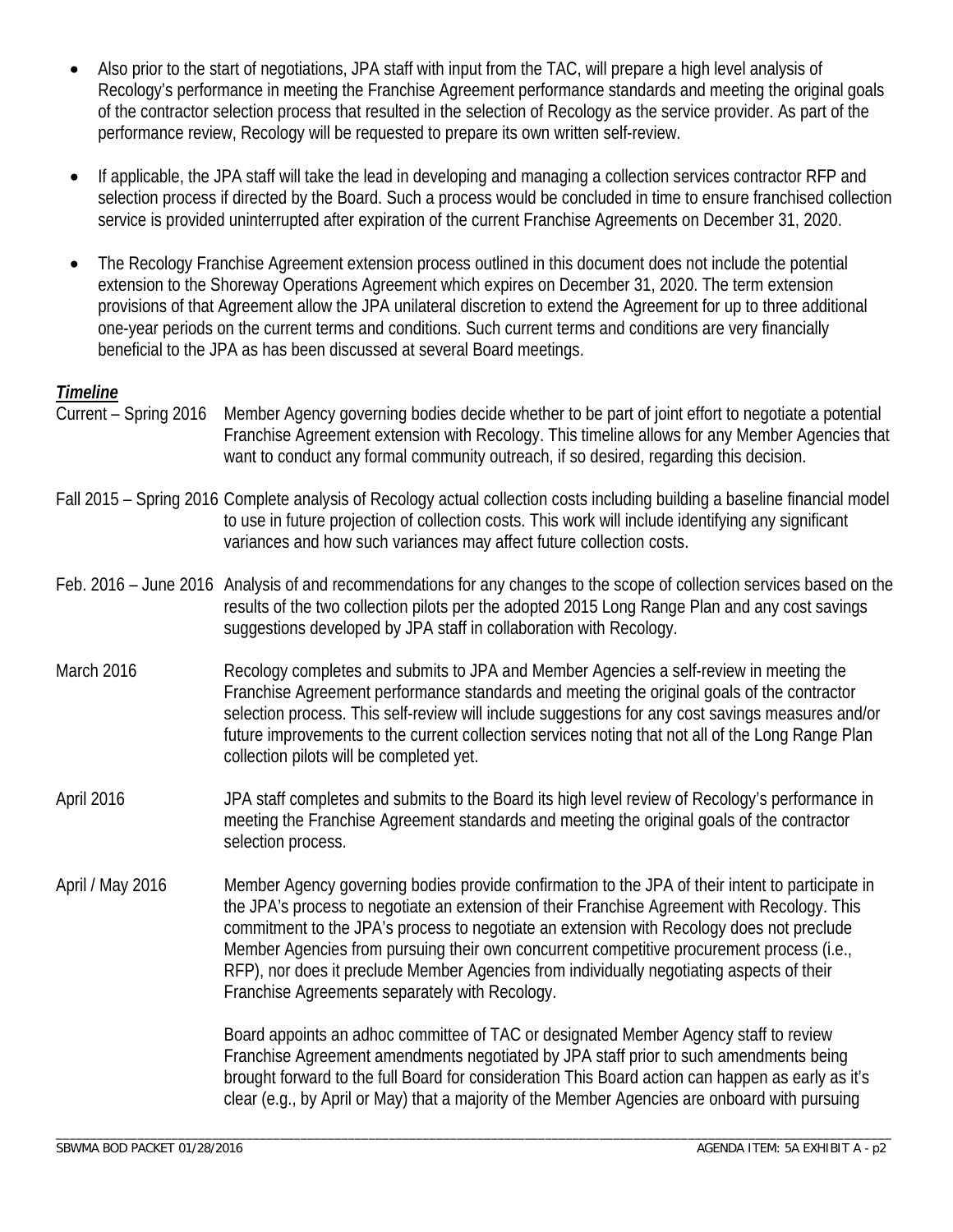- Also prior to the start of negotiations, JPA staff with input from the TAC, will prepare a high level analysis of Recology's performance in meeting the Franchise Agreement performance standards and meeting the original goals of the contractor selection process that resulted in the selection of Recology as the service provider. As part of the performance review, Recology will be requested to prepare its own written self-review.
- If applicable, the JPA staff will take the lead in developing and managing a collection services contractor RFP and selection process if directed by the Board. Such a process would be concluded in time to ensure franchised collection service is provided uninterrupted after expiration of the current Franchise Agreements on December 31, 2020.
- The Recology Franchise Agreement extension process outlined in this document does not include the potential extension to the Shoreway Operations Agreement which expires on December 31, 2020. The term extension provisions of that Agreement allow the JPA unilateral discretion to extend the Agreement for up to three additional one-year periods on the current terms and conditions. Such current terms and conditions are very financially beneficial to the JPA as has been discussed at several Board meetings.

#### *Timeline*

- Current Spring 2016 Member Agency governing bodies decide whether to be part of joint effort to negotiate a potential Franchise Agreement extension with Recology. This timeline allows for any Member Agencies that want to conduct any formal community outreach, if so desired, regarding this decision.
- Fall 2015 Spring 2016 Complete analysis of Recology actual collection costs including building a baseline financial model to use in future projection of collection costs. This work will include identifying any significant variances and how such variances may affect future collection costs.
- Feb. 2016 June 2016 Analysis of and recommendations for any changes to the scope of collection services based on the results of the two collection pilots per the adopted 2015 Long Range Plan and any cost savings suggestions developed by JPA staff in collaboration with Recology.
- March 2016 Recology completes and submits to JPA and Member Agencies a self-review in meeting the Franchise Agreement performance standards and meeting the original goals of the contractor selection process. This self-review will include suggestions for any cost savings measures and/or future improvements to the current collection services noting that not all of the Long Range Plan collection pilots will be completed yet.
- April 2016 JPA staff completes and submits to the Board its high level review of Recology's performance in meeting the Franchise Agreement standards and meeting the original goals of the contractor selection process.
- April / May 2016 Member Agency governing bodies provide confirmation to the JPA of their intent to participate in the JPA's process to negotiate an extension of their Franchise Agreement with Recology. This commitment to the JPA's process to negotiate an extension with Recology does not preclude Member Agencies from pursuing their own concurrent competitive procurement process (i.e., RFP), nor does it preclude Member Agencies from individually negotiating aspects of their Franchise Agreements separately with Recology.

 Board appoints an adhoc committee of TAC or designated Member Agency staff to review Franchise Agreement amendments negotiated by JPA staff prior to such amendments being brought forward to the full Board for consideration This Board action can happen as early as it's clear (e.g., by April or May) that a majority of the Member Agencies are onboard with pursuing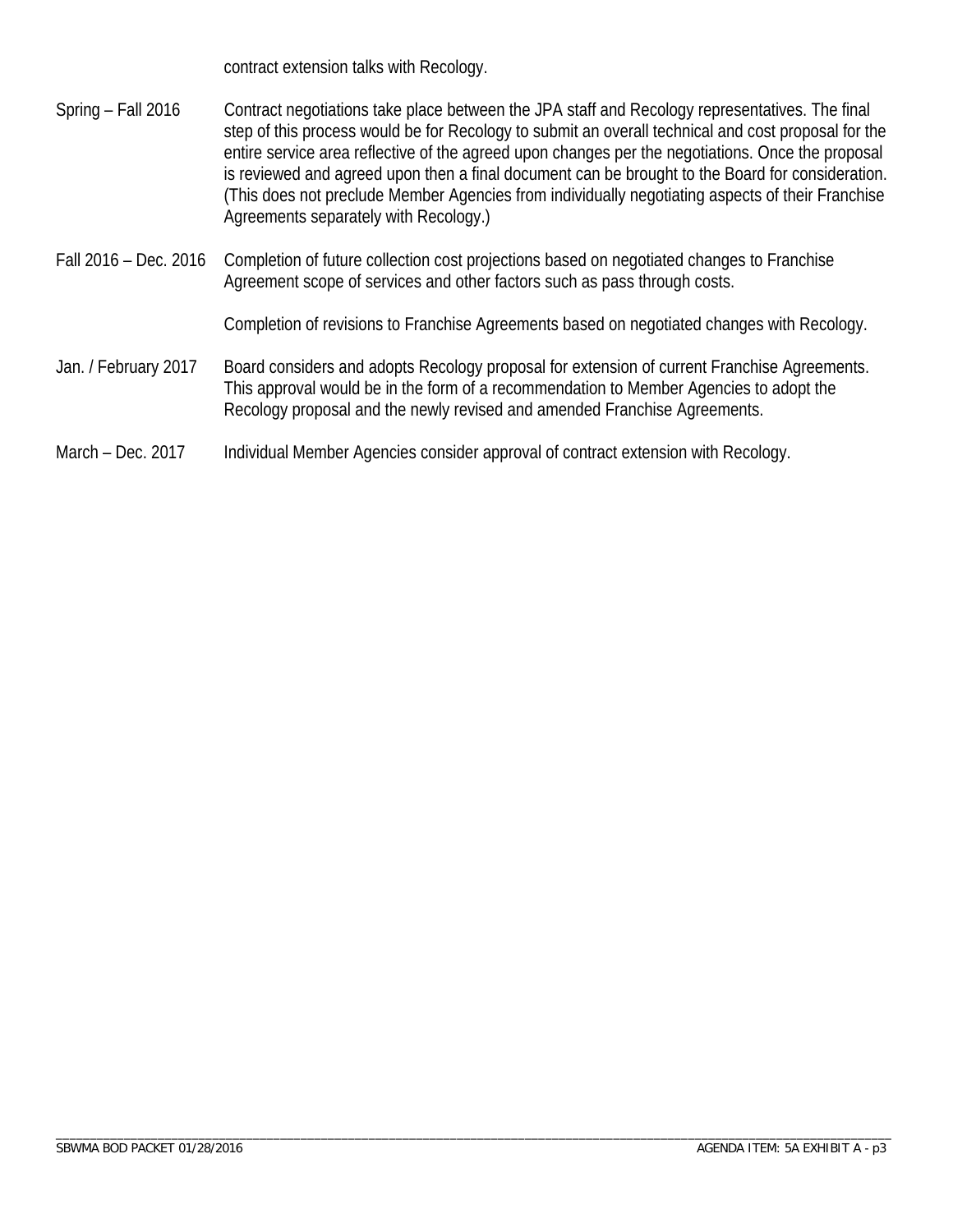contract extension talks with Recology.

- Spring Fall 2016 Contract negotiations take place between the JPA staff and Recology representatives. The final step of this process would be for Recology to submit an overall technical and cost proposal for the entire service area reflective of the agreed upon changes per the negotiations. Once the proposal is reviewed and agreed upon then a final document can be brought to the Board for consideration. (This does not preclude Member Agencies from individually negotiating aspects of their Franchise Agreements separately with Recology.)
- Fall 2016 Dec. 2016 Completion of future collection cost projections based on negotiated changes to Franchise Agreement scope of services and other factors such as pass through costs.

Completion of revisions to Franchise Agreements based on negotiated changes with Recology.

Jan. / February 2017 Board considers and adopts Recology proposal for extension of current Franchise Agreements. This approval would be in the form of a recommendation to Member Agencies to adopt the Recology proposal and the newly revised and amended Franchise Agreements.

#### March – Dec. 2017 Individual Member Agencies consider approval of contract extension with Recology.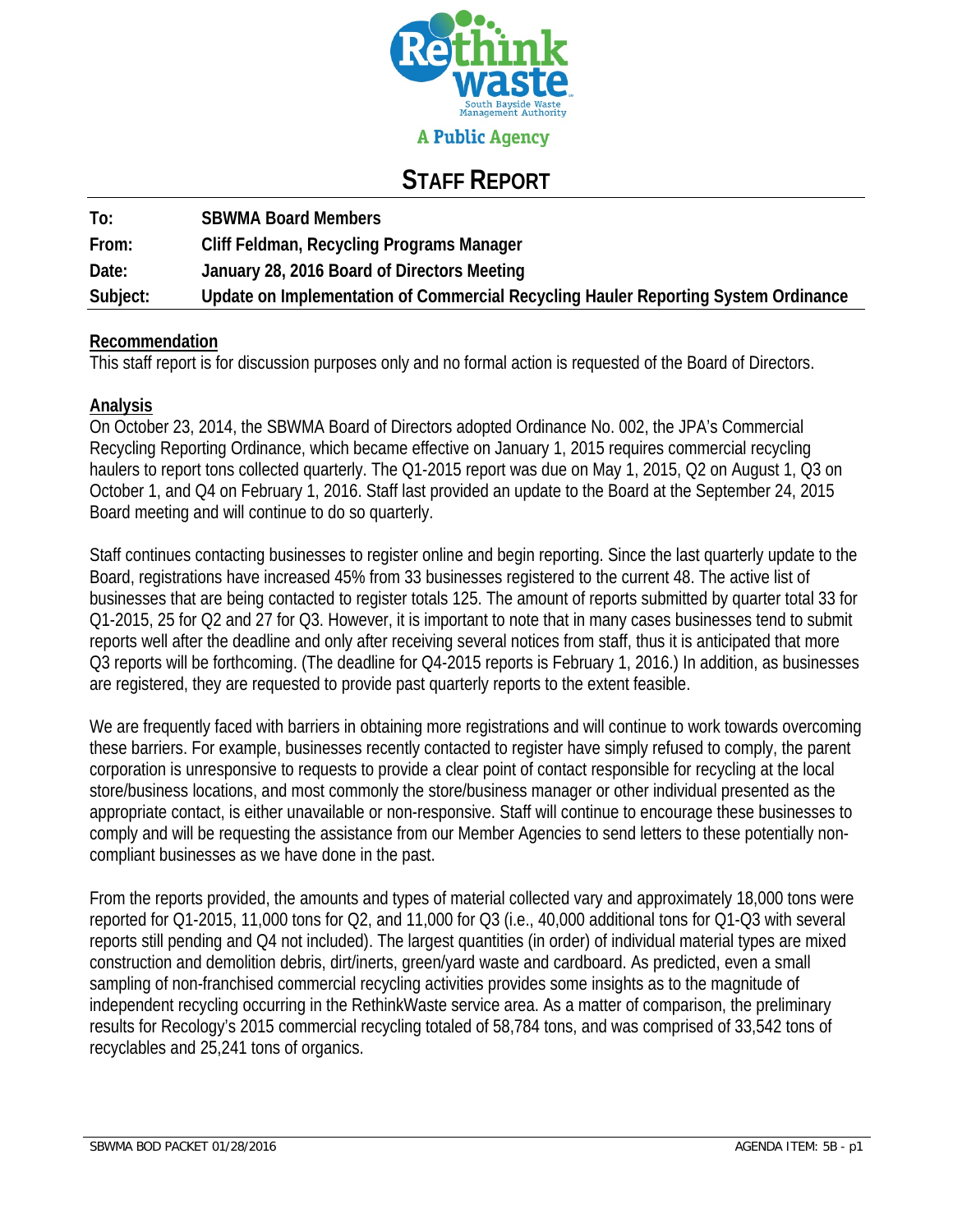

#### **A Public Agency**

### **STAFF REPORT**

| To:      | <b>SBWMA Board Members</b>                                                         |
|----------|------------------------------------------------------------------------------------|
| From:    | Cliff Feldman, Recycling Programs Manager                                          |
| Date:    | January 28, 2016 Board of Directors Meeting                                        |
| Subject: | Update on Implementation of Commercial Recycling Hauler Reporting System Ordinance |

#### **Recommendation**

This staff report is for discussion purposes only and no formal action is requested of the Board of Directors.

#### **Analysis**

On October 23, 2014, the SBWMA Board of Directors adopted Ordinance No. 002, the JPA's Commercial Recycling Reporting Ordinance, which became effective on January 1, 2015 requires commercial recycling haulers to report tons collected quarterly. The Q1-2015 report was due on May 1, 2015, Q2 on August 1, Q3 on October 1, and Q4 on February 1, 2016. Staff last provided an update to the Board at the September 24, 2015 Board meeting and will continue to do so quarterly.

Staff continues contacting businesses to register online and begin reporting. Since the last quarterly update to the Board, registrations have increased 45% from 33 businesses registered to the current 48. The active list of businesses that are being contacted to register totals 125. The amount of reports submitted by quarter total 33 for Q1-2015, 25 for Q2 and 27 for Q3. However, it is important to note that in many cases businesses tend to submit reports well after the deadline and only after receiving several notices from staff, thus it is anticipated that more Q3 reports will be forthcoming. (The deadline for Q4-2015 reports is February 1, 2016.) In addition, as businesses are registered, they are requested to provide past quarterly reports to the extent feasible.

We are frequently faced with barriers in obtaining more registrations and will continue to work towards overcoming these barriers. For example, businesses recently contacted to register have simply refused to comply, the parent corporation is unresponsive to requests to provide a clear point of contact responsible for recycling at the local store/business locations, and most commonly the store/business manager or other individual presented as the appropriate contact, is either unavailable or non-responsive. Staff will continue to encourage these businesses to comply and will be requesting the assistance from our Member Agencies to send letters to these potentially noncompliant businesses as we have done in the past.

From the reports provided, the amounts and types of material collected vary and approximately 18,000 tons were reported for Q1-2015, 11,000 tons for Q2, and 11,000 for Q3 (i.e., 40,000 additional tons for Q1-Q3 with several reports still pending and Q4 not included). The largest quantities (in order) of individual material types are mixed construction and demolition debris, dirt/inerts, green/yard waste and cardboard. As predicted, even a small sampling of non-franchised commercial recycling activities provides some insights as to the magnitude of independent recycling occurring in the RethinkWaste service area. As a matter of comparison, the preliminary results for Recology's 2015 commercial recycling totaled of 58,784 tons, and was comprised of 33,542 tons of recyclables and 25,241 tons of organics.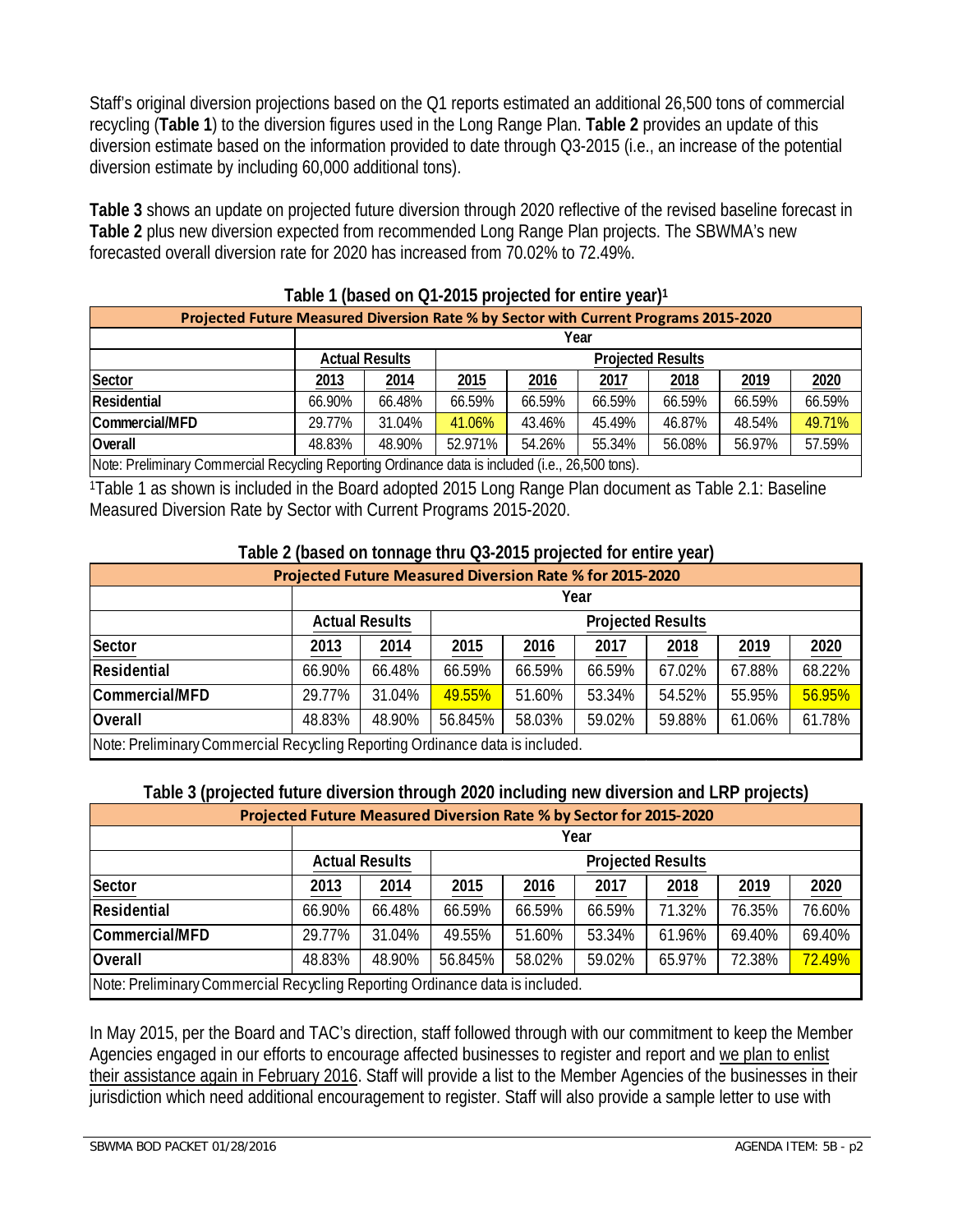Staff's original diversion projections based on the Q1 reports estimated an additional 26,500 tons of commercial recycling (**Table 1**) to the diversion figures used in the Long Range Plan. **Table 2** provides an update of this diversion estimate based on the information provided to date through Q3-2015 (i.e., an increase of the potential diversion estimate by including 60,000 additional tons).

**Table 3** shows an update on projected future diversion through 2020 reflective of the revised baseline forecast in **Table 2** plus new diversion expected from recommended Long Range Plan projects. The SBWMA's new forecasted overall diversion rate for 2020 has increased from 70.02% to 72.49%.

| <b>TODIO I</b> (DOOG OIL QT ZO TO DI OJOOGO TOI OIRITO YOU)                                      |                                                   |        |                                              |        |        |        |        |        |  |  |
|--------------------------------------------------------------------------------------------------|---------------------------------------------------|--------|----------------------------------------------|--------|--------|--------|--------|--------|--|--|
| Projected Future Measured Diversion Rate % by Sector with Current Programs 2015-2020             |                                                   |        |                                              |        |        |        |        |        |  |  |
|                                                                                                  | Year                                              |        |                                              |        |        |        |        |        |  |  |
|                                                                                                  | <b>Actual Results</b><br><b>Projected Results</b> |        |                                              |        |        |        |        |        |  |  |
| Sector                                                                                           | 2013                                              | 2014   | 2020<br>2019<br>2016<br>2015<br>2018<br>2017 |        |        |        |        |        |  |  |
| Residential                                                                                      | 66.90%                                            | 66.48% | 66.59%                                       | 66.59% | 66.59% | 66.59% | 66.59% | 66.59% |  |  |
| Commercial/MFD                                                                                   | 29.77%                                            | 31.04% | 41.06%                                       | 43.46% | 45.49% | 46.87% | 48.54% | 49.71% |  |  |
| Overall                                                                                          | 48.83%                                            | 48.90% | 52.971%                                      | 54.26% | 55.34% | 56.08% | 56.97% | 57.59% |  |  |
| Note: Preliminary Commercial Recycling Reporting Ordinance data is included (i.e., 26,500 tons). |                                                   |        |                                              |        |        |        |        |        |  |  |

#### **Table 1 (based on Q1-2015 projected for entire year)1**

1Table 1 as shown is included in the Board adopted 2015 Long Range Plan document as Table 2.1: Baseline Measured Diversion Rate by Sector with Current Programs 2015-2020.

#### **Table 2 (based on tonnage thru Q3-2015 projected for entire year)**

| Projected Future Measured Diversion Rate % for 2015-2020                     |                                                   |                                                      |         |        |        |        |        |        |  |  |
|------------------------------------------------------------------------------|---------------------------------------------------|------------------------------------------------------|---------|--------|--------|--------|--------|--------|--|--|
|                                                                              | Year                                              |                                                      |         |        |        |        |        |        |  |  |
|                                                                              | <b>Actual Results</b><br><b>Projected Results</b> |                                                      |         |        |        |        |        |        |  |  |
| Sector                                                                       | 2013                                              | 2020<br>2014<br>2015<br>2019<br>2016<br>2017<br>2018 |         |        |        |        |        |        |  |  |
| Residential                                                                  | 66.90%                                            | 66.48%                                               | 66.59%  | 66.59% | 66.59% | 67.02% | 67.88% | 68.22% |  |  |
| Commercial/MFD                                                               | 29.77%                                            | 31.04%                                               | 49.55%  | 51.60% | 53.34% | 54.52% | 55.95% | 56.95% |  |  |
| Overall                                                                      | 48.83%                                            | 48.90%                                               | 56.845% | 58.03% | 59.02% | 59.88% | 61.06% | 61.78% |  |  |
| Note: Preliminary Commercial Recycling Reporting Ordinance data is included. |                                                   |                                                      |         |        |        |        |        |        |  |  |

#### **Table 3 (projected future diversion through 2020 including new diversion and LRP projects)**

| Projected Future Measured Diversion Rate % by Sector for 2015-2020           |                                                   |        |         |        |        |        |        |        |  |  |
|------------------------------------------------------------------------------|---------------------------------------------------|--------|---------|--------|--------|--------|--------|--------|--|--|
|                                                                              | Year                                              |        |         |        |        |        |        |        |  |  |
|                                                                              | <b>Actual Results</b><br><b>Projected Results</b> |        |         |        |        |        |        |        |  |  |
| Sector                                                                       | 2013                                              | 2014   | 2015    | 2016   | 2017   | 2018   | 2019   | 2020   |  |  |
| Residential                                                                  | 66.90%                                            | 66.48% | 66.59%  | 66.59% | 66.59% | 71.32% | 76.35% | 76.60% |  |  |
| Commercial/MFD                                                               | 29.77%                                            | 31.04% | 49.55%  | 51.60% | 53.34% | 61.96% | 69.40% | 69.40% |  |  |
| <b>Overall</b>                                                               | 48.83%                                            | 48.90% | 56.845% | 58.02% | 59.02% | 65.97% | 72.38% | 72.49% |  |  |
| Note: Preliminary Commercial Recycling Reporting Ordinance data is included. |                                                   |        |         |        |        |        |        |        |  |  |

In May 2015, per the Board and TAC's direction, staff followed through with our commitment to keep the Member Agencies engaged in our efforts to encourage affected businesses to register and report and we plan to enlist their assistance again in February 2016. Staff will provide a list to the Member Agencies of the businesses in their jurisdiction which need additional encouragement to register. Staff will also provide a sample letter to use with